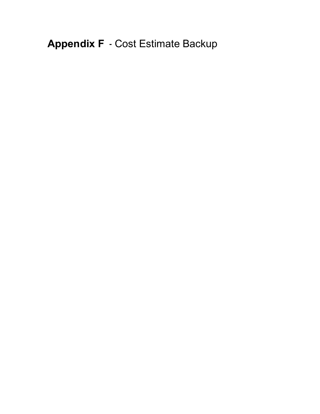**Appendix F** - Cost Estimate Backup